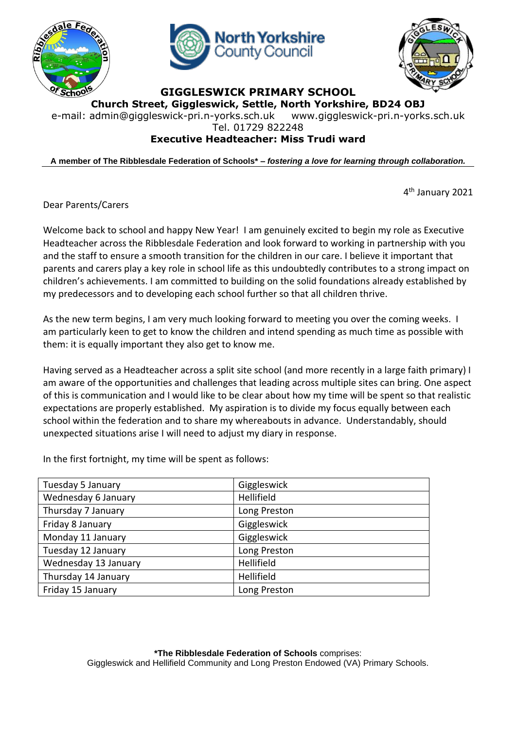





**GIGGLESWICK PRIMARY SCHOOL**

**Church Street, Giggleswick, Settle, North Yorkshire, BD24 OBJ** e-mail: [admin@giggleswick-pri.n-yorks.sch.uk](mailto:admin@giggleswick-pri.n-yorks.sch.uk) www.giggleswick-pri.n-yorks.sch.uk

Tel. 01729 822248

## **Executive Headteacher: Miss Trudi ward**

**A member of The Ribblesdale Federation of Schools\* –** *fostering a love for learning through collaboration.*

4 th January 2021

Dear Parents/Carers

Welcome back to school and happy New Year! I am genuinely excited to begin my role as Executive Headteacher across the Ribblesdale Federation and look forward to working in partnership with you and the staff to ensure a smooth transition for the children in our care. I believe it important that parents and carers play a key role in school life as this undoubtedly contributes to a strong impact on children's achievements. I am committed to building on the solid foundations already established by my predecessors and to developing each school further so that all children thrive.

As the new term begins, I am very much looking forward to meeting you over the coming weeks. I am particularly keen to get to know the children and intend spending as much time as possible with them: it is equally important they also get to know me.

Having served as a Headteacher across a split site school (and more recently in a large faith primary) I am aware of the opportunities and challenges that leading across multiple sites can bring. One aspect of this is communication and I would like to be clear about how my time will be spent so that realistic expectations are properly established. My aspiration is to divide my focus equally between each school within the federation and to share my whereabouts in advance. Understandably, should unexpected situations arise I will need to adjust my diary in response.

In the first fortnight, my time will be spent as follows:

| Tuesday 5 January    | Giggleswick  |
|----------------------|--------------|
| Wednesday 6 January  | Hellifield   |
| Thursday 7 January   | Long Preston |
| Friday 8 January     | Giggleswick  |
| Monday 11 January    | Giggleswick  |
| Tuesday 12 January   | Long Preston |
| Wednesday 13 January | Hellifield   |
| Thursday 14 January  | Hellifield   |
| Friday 15 January    | Long Preston |
|                      |              |

**\*The Ribblesdale Federation of Schools** comprises: Giggleswick and Hellifield Community and Long Preston Endowed (VA) Primary Schools.